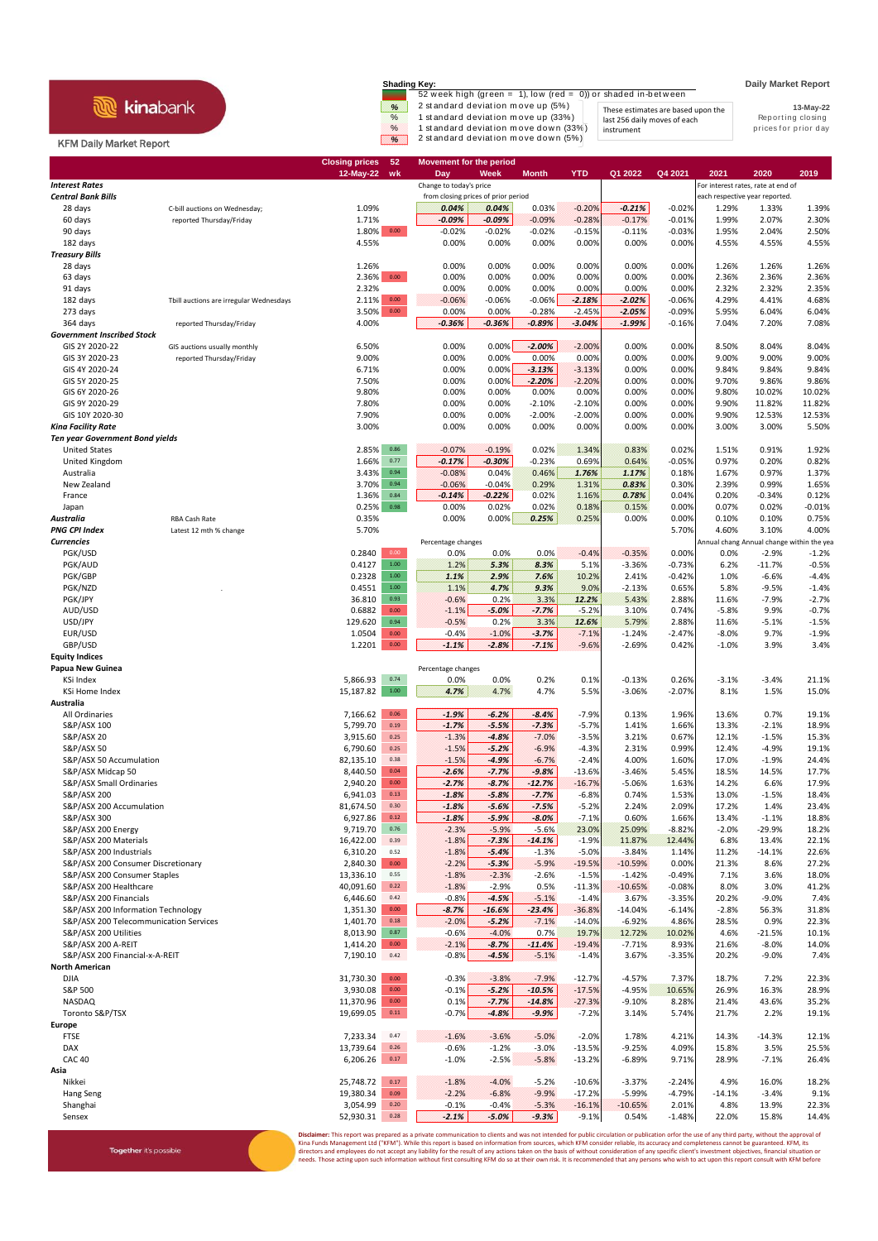## **R** kinabank

Together it's possible

**Shading Key: Daily Market Report**<br>52 week high (green = 1), low (red = 0)) or shaded in-between  $\frac{\%}{\%}$  2 standard deviation move up (5%)<br>
These estimates are based upon the<br>
1 standard deviation move up (33%) last 256 daily moves of each<br>
1 standard deviation move down (5%) instrument by the prices for prior day

instrument

**13-May-22** These estimates are based upon the last 256 daily moves of each

## KFM Daily Market Report

|                                                                |                                         | 52<br><b>Closing prices</b><br>$12-May-22$<br>wk | <b>Movement for the period</b><br>Day | Week               | <b>Month</b>         | <b>YTD</b>           | Q1 2022               | Q4 2021              | 2021                                      | 2020               | 2019               |
|----------------------------------------------------------------|-----------------------------------------|--------------------------------------------------|---------------------------------------|--------------------|----------------------|----------------------|-----------------------|----------------------|-------------------------------------------|--------------------|--------------------|
| <b>Interest Rates</b>                                          |                                         |                                                  | Change to today's price               |                    |                      |                      |                       |                      | For interest rates, rate at end of        |                    |                    |
| <b>Central Bank Bills</b>                                      |                                         |                                                  | from closing prices of prior period   |                    |                      |                      |                       |                      | each respective year reported.            |                    |                    |
| 28 days                                                        | C-bill auctions on Wednesday;           | 1.09%                                            | 0.04%                                 | 0.04%              | 0.03%                | $-0.20%$             | $-0.21%$              | $-0.02%$             | 1.29%                                     | 1.33%              | 1.39%              |
| 60 days                                                        | reported Thursday/Friday                | 1.71%<br>$0.00\,$                                | $-0.09%$<br>$-0.02%$                  | $-0.09%$           | $-0.09%$             | $-0.28%$             | $-0.17%$              | $-0.01%$             | 1.99%                                     | 2.07%              | 2.30%              |
| 90 days<br>182 days                                            |                                         | 1.80%<br>4.55%                                   | 0.00%                                 | $-0.02%$<br>0.00%  | $-0.02%$<br>0.00%    | $-0.15%$<br>0.00%    | $-0.11%$<br>0.00%     | $-0.03%$<br>0.00%    | 1.95%<br>4.55%                            | 2.04%<br>4.55%     | 2.50%<br>4.55%     |
| <b>Treasury Bills</b>                                          |                                         |                                                  |                                       |                    |                      |                      |                       |                      |                                           |                    |                    |
| 28 days                                                        |                                         | 1.26%                                            | 0.00%                                 | 0.00%              | 0.00%                | 0.00%                | 0.00%                 | 0.00%                | 1.26%                                     | 1.26%              | 1.26%              |
| 63 days                                                        |                                         | $0.00\,$<br>2.36%                                | 0.00%                                 | 0.00%              | 0.00%                | 0.00%                | 0.00%                 | 0.00%                | 2.36%                                     | 2.36%              | 2.36%              |
| 91 days                                                        |                                         | 2.32%                                            | 0.00%                                 | 0.00%              | 0.00%                | 0.00%                | 0.00%                 | 0.00%                | 2.32%                                     | 2.32%              | 2.35%              |
| 182 days<br>273 days                                           | Tbill auctions are irregular Wednesdays | 0.00<br>2.11%<br>$0.00\,$<br>3.50%               | $-0.06%$<br>0.00%                     | $-0.06%$<br>0.00%  | $-0.06%$<br>$-0.28%$ | $-2.18%$<br>$-2.45%$ | $-2.02%$<br>$-2.05%$  | $-0.06%$<br>$-0.09%$ | 4.29%<br>5.95%                            | 4.41%<br>6.04%     | 4.68%<br>6.04%     |
| 364 days                                                       | reported Thursday/Friday                | 4.00%                                            | $-0.36%$                              | $-0.36%$           | $-0.89%$             | $-3.04%$             | $-1.99%$              | $-0.16%$             | 7.04%                                     | 7.20%              | 7.08%              |
| <b>Government Inscribed Stock</b>                              |                                         |                                                  |                                       |                    |                      |                      |                       |                      |                                           |                    |                    |
| GIS 2Y 2020-22                                                 | GIS auctions usually monthly            | 6.50%                                            | 0.00%                                 | 0.00%              | $-2.00%$             | $-2.00%$             | 0.00%                 | 0.00%                | 8.50%                                     | 8.04%              | 8.04%              |
| GIS 3Y 2020-23                                                 | reported Thursday/Friday                | 9.00%                                            | 0.00%                                 | 0.00%              | 0.00%                | 0.00%                | 0.00%                 | 0.00%                | 9.00%                                     | 9.00%              | 9.00%              |
| GIS 4Y 2020-24<br>GIS 5Y 2020-25                               |                                         | 6.71%<br>7.50%                                   | 0.00%<br>0.00%                        | 0.00%<br>0.00%     | $-3.13%$<br>$-2.20%$ | $-3.13%$<br>$-2.20%$ | 0.00%<br>0.00%        | 0.00%<br>0.00%       | 9.84%<br>9.70%                            | 9.84%<br>9.86%     | 9.84%<br>9.86%     |
| GIS 6Y 2020-26                                                 |                                         | 9.80%                                            | 0.00%                                 | 0.00%              | 0.00%                | 0.00%                | 0.00%                 | 0.00%                | 9.80%                                     | 10.02%             | 10.02%             |
| GIS 9Y 2020-29                                                 |                                         | 7.80%                                            | 0.00%                                 | 0.00%              | $-2.10%$             | $-2.10%$             | 0.00%                 | 0.00%                | 9.90%                                     | 11.82%             | 11.82%             |
| GIS 10Y 2020-30                                                |                                         | 7.90%                                            | 0.00%                                 | 0.00%              | $-2.00%$             | $-2.00%$             | 0.00%                 | 0.00%                | 9.90%                                     | 12.53%             | 12.53%             |
| Kina Facility Rate                                             |                                         | 3.00%                                            | 0.00%                                 | 0.00%              | 0.00%                | 0.00%                | 0.00%                 | 0.00%                | 3.00%                                     | 3.00%              | 5.50%              |
| <b>Ten year Government Bond yields</b><br><b>United States</b> |                                         | 0.86<br>2.85%                                    | $-0.07%$                              | $-0.19%$           | 0.02%                | 1.34%                | 0.83%                 | 0.02%                | 1.51%                                     | 0.91%              |                    |
| United Kingdom                                                 |                                         | 1.66%<br>0.77                                    | $-0.17%$                              | $-0.30%$           | $-0.23%$             | 0.69%                | 0.64%                 | $-0.05%$             | 0.97%                                     | 0.20%              | 1.92%<br>0.82%     |
| Australia                                                      |                                         | 3.43%<br>0.94                                    | $-0.08%$                              | 0.04%              | 0.46%                | 1.76%                | 1.17%                 | 0.18%                | 1.67%                                     | 0.97%              | 1.37%              |
| New Zealand                                                    |                                         | 3.70%<br>0.94                                    | $-0.06%$                              | $-0.04%$           | 0.29%                | 1.31%                | 0.83%                 | 0.30%                | 2.39%                                     | 0.99%              | 1.65%              |
| France                                                         |                                         | 0.84<br>1.36%                                    | $-0.14%$                              | $-0.22%$           | 0.02%                | 1.16%                | 0.78%                 | 0.04%                | 0.20%                                     | $-0.34%$           | 0.12%              |
| Japan                                                          |                                         | 0.25%<br>0.98                                    | 0.00%                                 | 0.02%              | 0.02%                | 0.18%                | 0.15%                 | 0.00%                | 0.07%                                     | 0.02%              | $-0.01%$           |
| Australia<br><b>PNG CPI Index</b>                              | RBA Cash Rate<br>Latest 12 mth % change | 0.35%<br>5.70%                                   | 0.00%                                 | 0.00%              | 0.25%                | 0.25%                | 0.00%                 | 0.00%<br>5.70%       | 0.10%<br>4.60%                            | 0.10%<br>3.10%     | 0.75%<br>4.00%     |
| <b>Currencies</b>                                              |                                         |                                                  | Percentage changes                    |                    |                      |                      |                       |                      | Annual chang Annual change within the yea |                    |                    |
| PGK/USD                                                        |                                         | 0.00<br>0.2840                                   | 0.0%                                  | 0.0%               | 0.0%                 | $-0.4%$              | $-0.35%$              | 0.00%                | 0.0%                                      | $-2.9%$            | $-1.2%$            |
| PGK/AUD                                                        |                                         | $1.00\,$<br>0.4127                               | 1.2%                                  | 5.3%               | 8.3%                 | 5.1%                 | $-3.36%$              | $-0.73%$             | 6.2%                                      | $-11.7%$           | $-0.5%$            |
| PGK/GBP                                                        |                                         | 0.2328<br>$1.00\,$                               | 1.1%                                  | 2.9%               | 7.6%                 | 10.2%                | 2.41%                 | $-0.42%$             | 1.0%                                      | $-6.6%$            | $-4.4%$            |
| PGK/NZD<br>PGK/JPY                                             |                                         | 0.4551<br>1.00<br>36.810<br>0.93                 | 1.1%<br>$-0.6%$                       | 4.7%<br>0.2%       | 9.3%<br>3.3%         | 9.0%<br>12.2%        | $-2.13%$<br>5.43%     | 0.65%<br>2.88%       | 5.8%<br>11.6%                             | $-9.5%$<br>$-7.9%$ | $-1.4%$<br>$-2.7%$ |
| AUD/USD                                                        |                                         | 0.6882<br>0.00                                   | $-1.1%$                               | $-5.0%$            | $-7.7%$              | $-5.2%$              | 3.10%                 | 0.74%                | $-5.8%$                                   | 9.9%               | $-0.7%$            |
| USD/JPY                                                        |                                         | 129.620<br>0.94                                  | $-0.5%$                               | 0.2%               | 3.3%                 | 12.6%                | 5.79%                 | 2.88%                | 11.6%                                     | $-5.1%$            | $-1.5%$            |
| EUR/USD                                                        |                                         | 1.0504<br>$0.00\,$                               | $-0.4%$                               | $-1.0%$            | $-3.7%$              | $-7.1%$              | $-1.24%$              | $-2.47%$             | $-8.0%$                                   | 9.7%               | $-1.9%$            |
| GBP/USD                                                        |                                         | 1.2201<br>0.00                                   | $-1.1%$                               | $-2.8%$            | $-7.1%$              | $-9.6%$              | $-2.69%$              | 0.42%                | $-1.0%$                                   | 3.9%               | 3.4%               |
| <b>Equity Indices</b>                                          |                                         |                                                  |                                       |                    |                      |                      |                       |                      |                                           |                    |                    |
| Papua New Guinea<br>KSi Index                                  |                                         | 0.74<br>5,866.93                                 | Percentage changes<br>0.0%            | 0.0%               | 0.2%                 | 0.1%                 | $-0.13%$              | 0.26%                | $-3.1%$                                   | $-3.4%$            | 21.1%              |
| KSi Home Index                                                 |                                         | 15,187.82<br>$1.00\,$                            | 4.7%                                  | 4.7%               | 4.7%                 | 5.5%                 | $-3.06%$              | $-2.07%$             | 8.1%                                      | 1.5%               | 15.0%              |
| Australia                                                      |                                         |                                                  |                                       |                    |                      |                      |                       |                      |                                           |                    |                    |
| All Ordinaries                                                 |                                         | 0.06<br>7,166.62                                 | $-1.9%$                               | $-6.2%$            | $-8.4%$              | $-7.9%$              | 0.13%                 | 1.96%                | 13.6%                                     | 0.7%               | 19.1%              |
| S&P/ASX 100                                                    |                                         | 5,799.70<br>0.19                                 | $-1.7%$                               | $-5.5%$            | $-7.3%$              | $-5.7%$              | 1.41%                 | 1.66%                | 13.3%                                     | $-2.1%$            | 18.9%              |
| S&P/ASX 20<br><b>S&amp;P/ASX 50</b>                            |                                         | 3,915.60<br>0.25<br>6,790.60<br>0.25             | $-1.3%$<br>$-1.5%$                    | $-4.8%$<br>$-5.2%$ | $-7.0%$<br>$-6.9%$   | $-3.5%$<br>$-4.3%$   | 3.21%<br>2.31%        | 0.67%<br>0.99%       | 12.1%<br>12.4%                            | $-1.5%$<br>$-4.9%$ | 15.3%<br>19.1%     |
| S&P/ASX 50 Accumulation                                        |                                         | 82,135.10<br>0.38                                | $-1.5%$                               | $-4.9%$            | $-6.7%$              | $-2.4%$              | 4.00%                 | 1.60%                | 17.0%                                     | $-1.9%$            | 24.4%              |
| S&P/ASX Midcap 50                                              |                                         | 8,440.50<br>0.04                                 | $-2.6%$                               | $-7.7%$            | $-9.8%$              | $-13.6%$             | $-3.46%$              | 5.45%                | 18.5%                                     | 14.5%              | 17.7%              |
| S&P/ASX Small Ordinaries                                       |                                         | 2,940.20<br>0.00                                 | $-2.7%$                               | $-8.7%$            | $-12.7%$             | $-16.7%$             | $-5.06%$              | 1.63%                | 14.2%                                     | 6.6%               | 17.9%              |
| S&P/ASX 200                                                    |                                         | 0.13<br>6,941.03                                 | $-1.8%$                               | $-5.8%$            | $-7.7%$              | $-6.8%$              | 0.74%                 | 1.53%                | 13.0%                                     | $-1.5%$            | 18.4%              |
| S&P/ASX 200 Accumulation<br>S&P/ASX 300                        |                                         | 81,674.50<br>0.30<br>6,927.86<br>0.12            | $-1.8%$<br>$-1.8%$                    | $-5.6%$<br>$-5.9%$ | $-7.5%$<br>$-8.0\%$  | $-5.2%$<br>$-7.1%$   | 2.24%<br>0.60%        | 2.09%<br>1.66%       | 17.2%<br>13.4%                            | 1.4%<br>$-1.1%$    | 23.4%<br>18.8%     |
| S&P/ASX 200 Energy                                             |                                         | 9,719.70<br>0.76                                 | $-2.3%$                               | $-5.9%$            | $-5.6%$              | 23.0%                | 25.09%                | $-8.82%$             | $-2.0%$                                   | $-29.9%$           | 18.2%              |
| S&P/ASX 200 Materials                                          |                                         | 16,422.00<br>0.39                                | $-1.8%$                               | $-7.3%$            | $-14.1%$             | $-1.9%$              | 11.87%                | 12.44%               | 6.8%                                      | 13.4%              | 22.1%              |
| S&P/ASX 200 Industrials                                        |                                         | 6,310.20<br>0.52                                 | $-1.8%$                               | $-5.4%$            | $-1.3%$              | $-5.0%$              | $-3.84%$              | 1.14%                | 11.2%                                     | $-14.1%$           | 22.6%              |
| S&P/ASX 200 Consumer Discretionary                             |                                         | 2,840.30<br>$0.00\,$                             | $-2.2%$                               | $-5.3%$            | $-5.9%$              | $-19.5%$             | $-10.59%$             | 0.00%                | 21.3%                                     | 8.6%               | 27.2%              |
| S&P/ASX 200 Consumer Staples<br>S&P/ASX 200 Healthcare         |                                         | 13,336.10<br>0.55<br>40,091.60<br>0.22           | $-1.8%$<br>$-1.8%$                    | $-2.3%$<br>$-2.9%$ | $-2.6%$<br>0.5%      | $-1.5%$<br>$-11.3%$  | $-1.42%$<br>$-10.65%$ | $-0.49%$<br>$-0.08%$ | 7.1%<br>8.0%                              | 3.6%<br>3.0%       | 18.0%<br>41.2%     |
| S&P/ASX 200 Financials                                         |                                         | 6,446.60<br>0.42                                 | $-0.8%$                               | $-4.5%$            | $-5.1%$              | $-1.4%$              | 3.67%                 | $-3.35%$             | 20.2%                                     | $-9.0%$            | 7.4%               |
| S&P/ASX 200 Information Technology                             |                                         | $0.00\,$<br>1,351.30                             | $-8.7%$                               | $-16.6%$           | $-23.4%$             | $-36.8%$             | $-14.04%$             | $-6.14%$             | $-2.8%$                                   | 56.3%              | 31.8%              |
| S&P/ASX 200 Telecommunication Services                         |                                         | 1,401.70<br>$0.18\,$                             | $-2.0%$                               | $-5.2%$            | $-7.1%$              | $-14.0%$             | $-6.92%$              | 4.86%                | 28.5%                                     | 0.9%               | 22.3%              |
| S&P/ASX 200 Utilities                                          |                                         | 8,013.90<br>0.87                                 | $-0.6%$                               | $-4.0%$            | 0.7%                 | 19.7%                | 12.72%                | 10.02%               | 4.6%                                      | $-21.5%$           | 10.1%              |
| S&P/ASX 200 A-REIT<br>S&P/ASX 200 Financial-x-A-REIT           |                                         | $0.00\,$<br>1,414.20<br>7,190.10<br>$0.42\,$     | $-2.1%$<br>$-0.8%$                    | $-8.7%$<br>$-4.5%$ | $-11.4%$<br>$-5.1%$  | $-19.4%$             | $-7.71%$              | 8.93%                | 21.6%                                     | $-8.0%$            | 14.0%<br>7.4%      |
| <b>North American</b>                                          |                                         |                                                  |                                       |                    |                      | $-1.4%$              | 3.67%                 | $-3.35%$             | 20.2%                                     | $-9.0%$            |                    |
| DJIA                                                           |                                         | 31,730.30<br>$0.00\,$                            | $-0.3%$                               | $-3.8%$            | $-7.9%$              | $-12.7%$             | $-4.57%$              | 7.37%                | 18.7%                                     | 7.2%               | 22.3%              |
| S&P 500                                                        |                                         | 3,930.08<br>0.00                                 | $-0.1%$                               | $-5.2%$            | $-10.5%$             | $-17.5%$             | $-4.95%$              | 10.65%               | 26.9%                                     | 16.3%              | 28.9%              |
| NASDAQ                                                         |                                         | $0.00\,$<br>11,370.96                            | 0.1%                                  | $-7.7%$            | $-14.8%$             | $-27.3%$             | $-9.10%$              | 8.28%                | 21.4%                                     | 43.6%              | 35.2%              |
| Toronto S&P/TSX                                                |                                         | 19,699.05<br>$0.11\,$                            | $-0.7%$                               | $-4.8%$            | $-9.9%$              | $-7.2%$              | 3.14%                 | 5.74%                | 21.7%                                     | 2.2%               | 19.1%              |
| Europe<br><b>FTSE</b>                                          |                                         | 7,233.34<br>0.47                                 | $-1.6%$                               | $-3.6%$            | $-5.0%$              | $-2.0%$              | 1.78%                 | 4.21%                | 14.3%                                     | $-14.3%$           | 12.1%              |
| DAX                                                            |                                         | 0.26<br>13,739.64                                | $-0.6%$                               | $-1.2%$            | $-3.0%$              | $-13.5%$             | $-9.25%$              | 4.09%                | 15.8%                                     | 3.5%               | 25.5%              |
| <b>CAC 40</b>                                                  |                                         | 0.17<br>6,206.26                                 | $-1.0%$                               | $-2.5%$            | $-5.8%$              | $-13.2%$             | $-6.89%$              | 9.71%                | 28.9%                                     | $-7.1%$            | 26.4%              |
| Asia                                                           |                                         |                                                  |                                       |                    |                      |                      |                       |                      |                                           |                    |                    |
| Nikkei                                                         |                                         | 25,748.72<br>0.17                                | $-1.8%$                               | $-4.0%$            | $-5.2%$              | $-10.6%$             | $-3.37%$              | $-2.24%$             | 4.9%                                      | 16.0%              | 18.2%              |
| Hang Seng<br>Shanghai                                          |                                         | 19,380.34<br>0.09<br>3,054.99<br>0.20            | $-2.2%$<br>$-0.1%$                    | $-6.8%$<br>$-0.4%$ | $-9.9%$<br>$-5.3%$   | $-17.2%$<br>$-16.1%$ | $-5.99%$<br>$-10.65%$ | $-4.79%$<br>2.01%    | $-14.1%$<br>4.8%                          | $-3.4%$<br>13.9%   | 9.1%<br>22.3%      |
| Sensex                                                         |                                         | 0.28<br>52,930.31                                | $-2.1%$                               | $-5.0%$            | $-9.3%$              | $-9.1%$              | 0.54%                 | $-1.48%$             | 22.0%                                     | 15.8%              | 14.4%              |
|                                                                |                                         |                                                  |                                       |                    |                      |                      |                       |                      |                                           |                    |                    |

**Disclaimer**: This report was prepared as a private communication to clients and was not intended for public circulation or publication orfor the use of any third party, without the approval of<br>Kina Funds Management Ltd ("